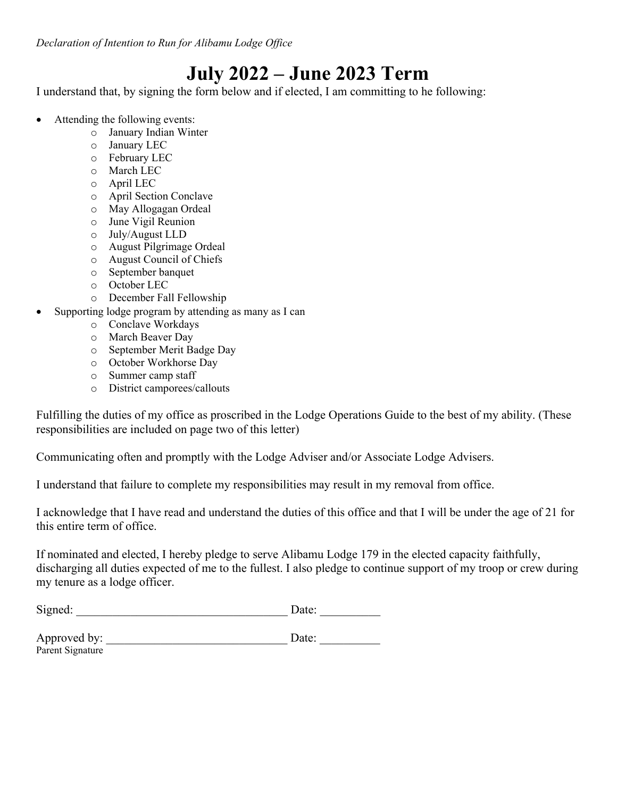*Declaration of Intention to Run for Alibamu Lodge Office* 

## **July 2022 – June 2023 Term**

I understand that, by signing the form below and if elected, I am committing to he following:

- Attending the following events:
	- o January Indian Winter
	- o January LEC
	- o February LEC
	- o March LEC
	- o April LEC
	- o April Section Conclave
	- o May Allogagan Ordeal
	- o June Vigil Reunion
	- o July/August LLD
	- o August Pilgrimage Ordeal
	- o August Council of Chiefs
	- o September banquet
	- o October LEC
	- o December Fall Fellowship
- Supporting lodge program by attending as many as I can
	- o Conclave Workdays
	- o March Beaver Day
	- o September Merit Badge Day
	- o October Workhorse Day
	- o Summer camp staff
	- o District camporees/callouts

Fulfilling the duties of my office as proscribed in the Lodge Operations Guide to the best of my ability. (These responsibilities are included on page two of this letter)

Communicating often and promptly with the Lodge Adviser and/or Associate Lodge Advisers.

I understand that failure to complete my responsibilities may result in my removal from office.

I acknowledge that I have read and understand the duties of this office and that I will be under the age of 21 for this entire term of office.

If nominated and elected, I hereby pledge to serve Alibamu Lodge 179 in the elected capacity faithfully, discharging all duties expected of me to the fullest. I also pledge to continue support of my troop or crew during my tenure as a lodge officer.

| $\sim$<br>N1.<br>ne r<br>ັ້<br>uvu. | ы<br>---- |  |
|-------------------------------------|-----------|--|
|                                     |           |  |

| Approved by:     | Date: |
|------------------|-------|
| Parent Signature |       |